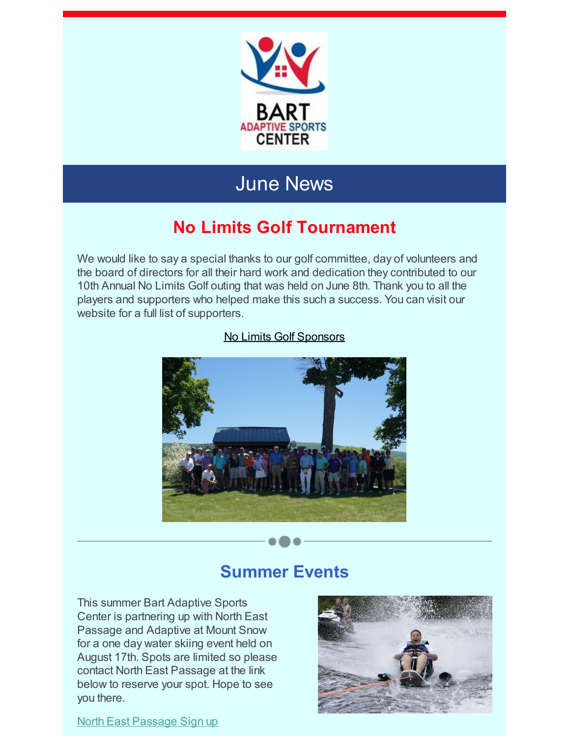

# June News

# **No Limits Golf Tournament**

We would like to say a special thanks to our golf committee, day of volunteers and the board of directors for all their hard work and dedication they contributed to our 10th Annual No Limits Golf outing that was held on June 8th. Thank you to all the players and supporters who helped make this such a success. You can visit our website for a full list of supporters.

#### No Limits Golf [Sponsors](https://www.bartadaptive.org/golf-sponsors.html)

## **Summer Events**

This summer Bart Adaptive Sports Center is partnering up with North East Passage and Adaptive at Mount Snow for a one day water skiing event held on August 17th. Spots are limited so please contact North East Passage at the link below to reserve your spot. Hope to see you there.



North East [Passage](http://nepassage.org/) Sign up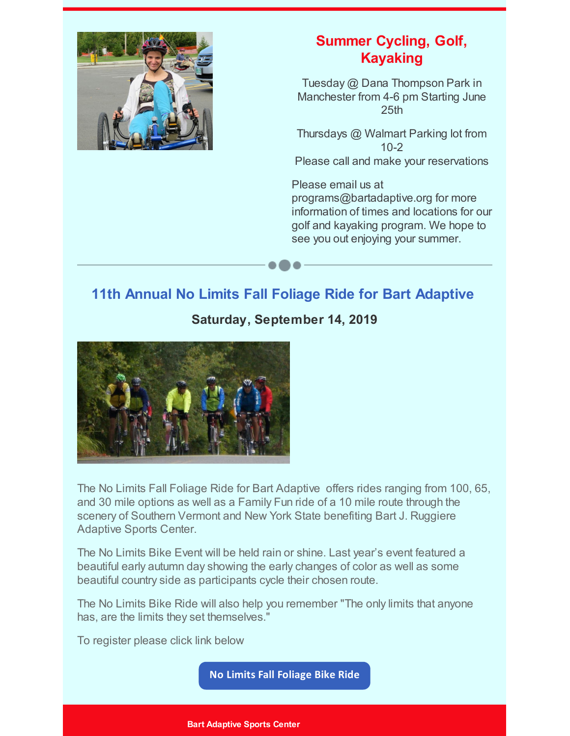

### **Summer Cycling, Golf, Kayaking**

Tuesday @ Dana Thompson Park in Manchester from 4-6 pm Starting June  $25th$ 

Thursdays @ Walmart Parking lot from 10-2 Please call and make your reservations

Please email us at programs@bartadaptive.org for more information of times and locations for our golf and kayaking program. We hope to see you out enjoying your summer.

## **11th Annual No Limits Fall Foliage Ride for Bart Adaptive**

#### **Saturday, September 14, 2019**



The No Limits Fall Foliage Ride for Bart Adaptive offers rides ranging from 100, 65, and 30 mile options as well as a Family Fun ride of a 10 mile route through the scenery of Southern Vermont and New York State benefiting Bart J. Ruggiere Adaptive Sports Center.

The No Limits Bike Event will be held rain or shine. Last year's event featured a beautiful early autumn day showing the early changes of color as well as some beautiful country side as participants cycle their chosen route.

The No Limits Bike Ride will also help you remember "The only limits that anyone has, are the limits they set themselves."

To register please click link below

**No Limits Fall [Foliage](https://www.bikereg.com/no-limits-fall-foliage-ride-for-bart-adaptive) Bike Ride**